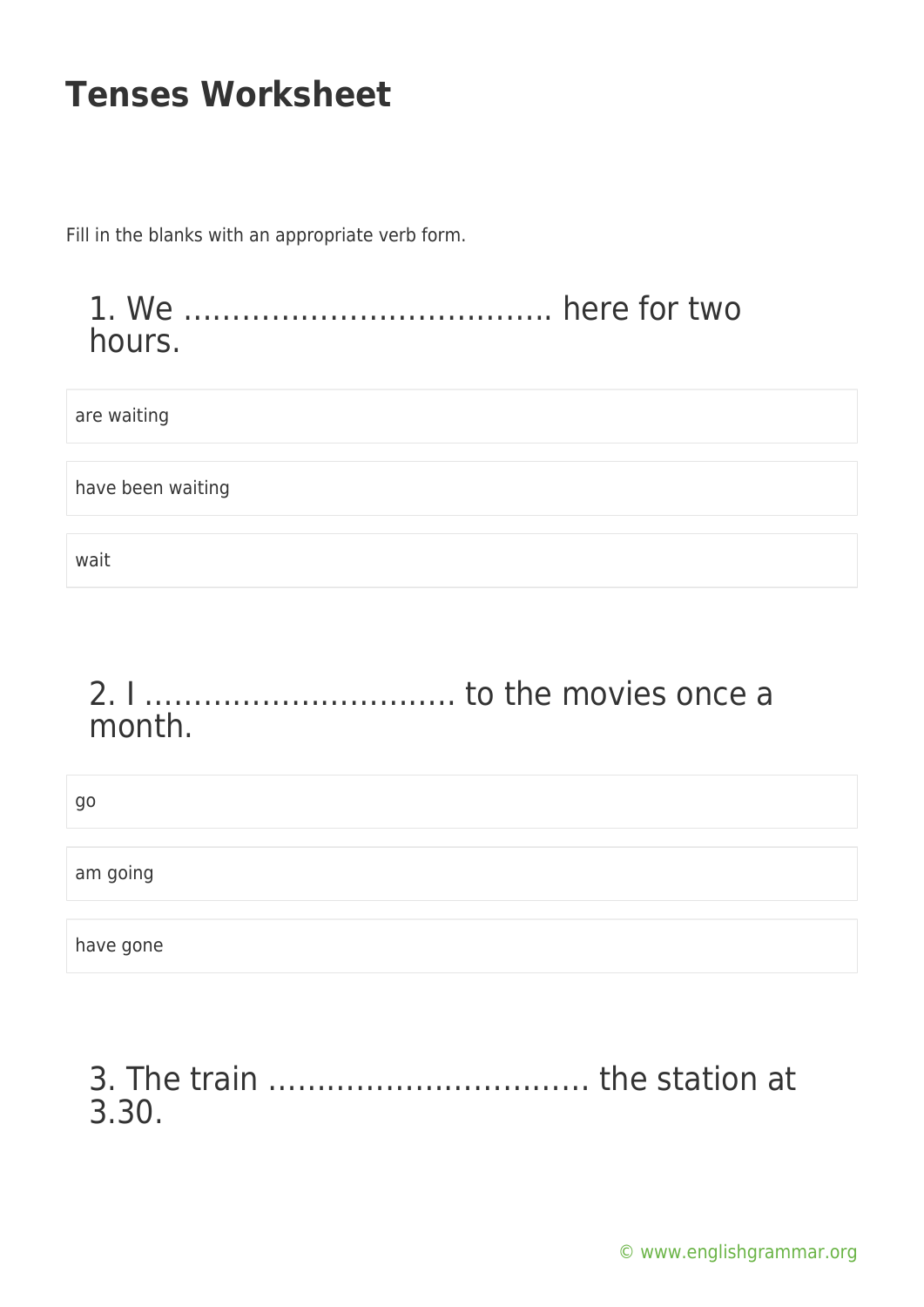Fill in the blanks with an appropriate verb form.

#### 1. We ……………………………….. here for two hours.

are waiting

have been waiting

wait

#### 2. I ………………………….. to the movies once a month.

| go        |  |
|-----------|--|
| am going  |  |
|           |  |
| have gone |  |

#### 3. The train …………………………… the station at 3.30.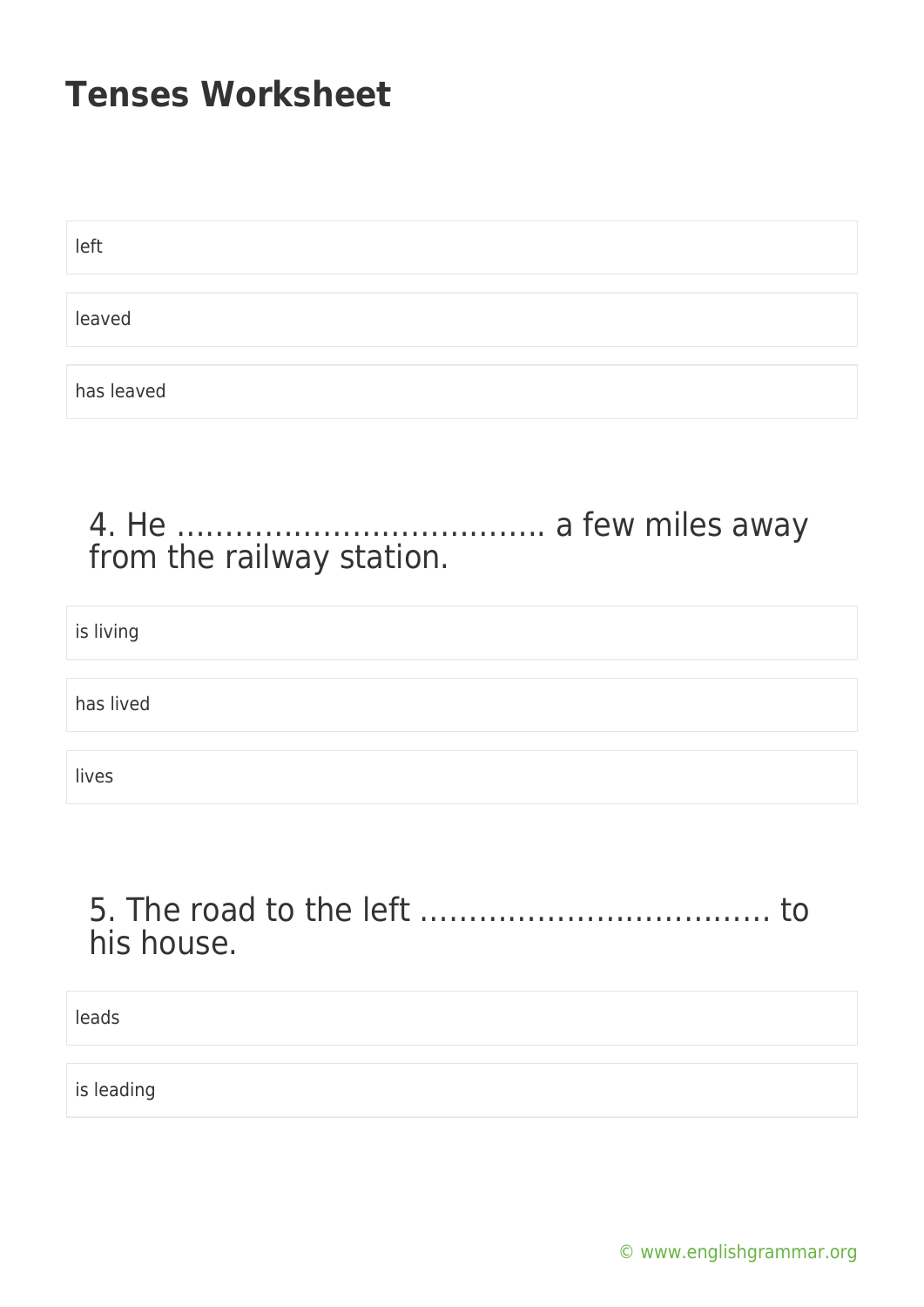| left       |  |  |
|------------|--|--|
|            |  |  |
| leaved     |  |  |
|            |  |  |
| has leaved |  |  |

#### 4. He ……………………………….. a few miles away from the railway station.

| is living |  |
|-----------|--|
|           |  |
| has lived |  |
|           |  |
| lives     |  |

### 5. The road to the left ……………………………… to his house.

leads

is leading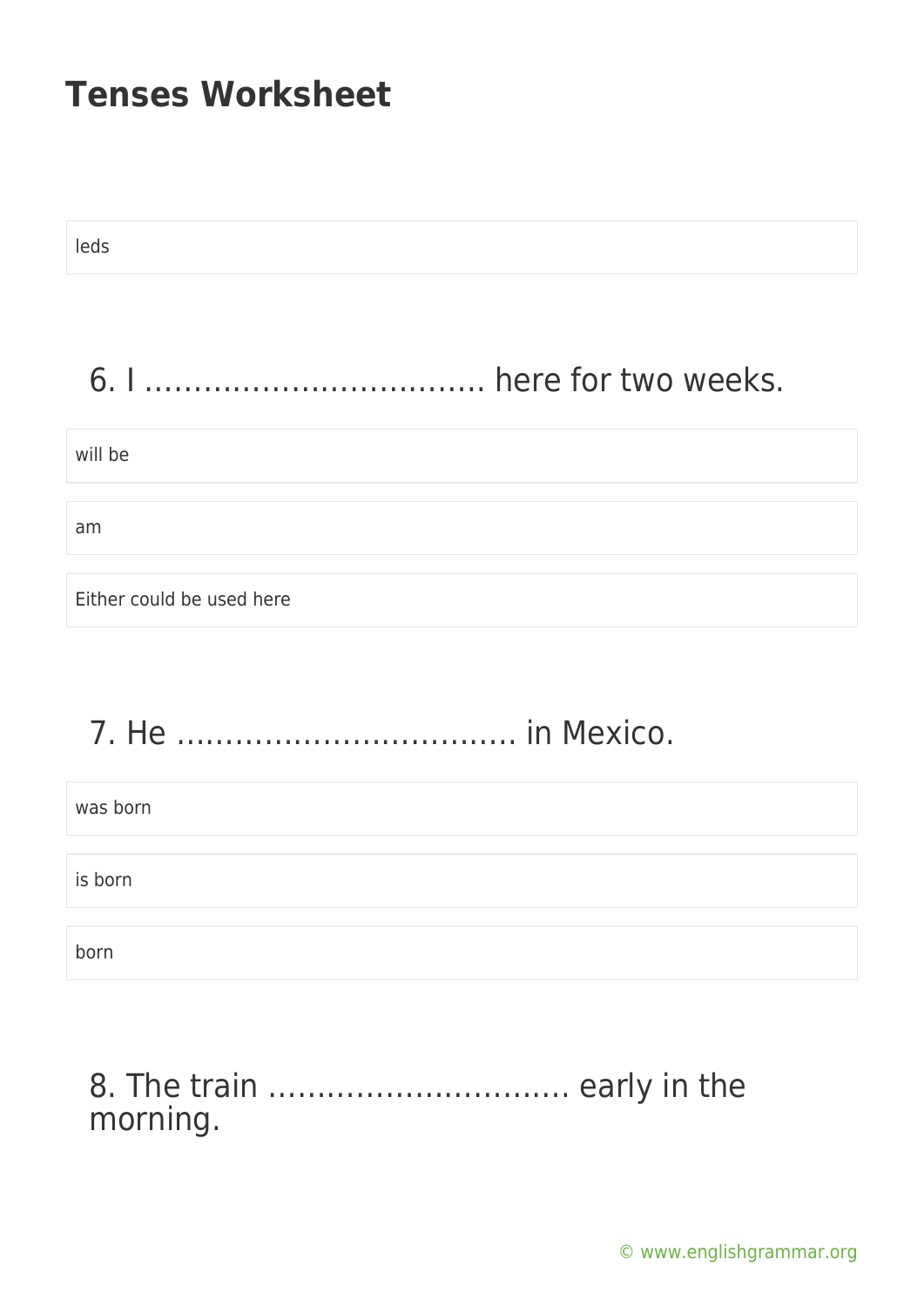| leds                      |
|---------------------------|
|                           |
|                           |
| will be                   |
| am                        |
| Either could be used here |
|                           |

# 7. He …………………………….. in Mexico.

| was born |  |
|----------|--|
|          |  |
| is born  |  |
|          |  |
| born     |  |

#### 8. The train …………………………. early in the morning.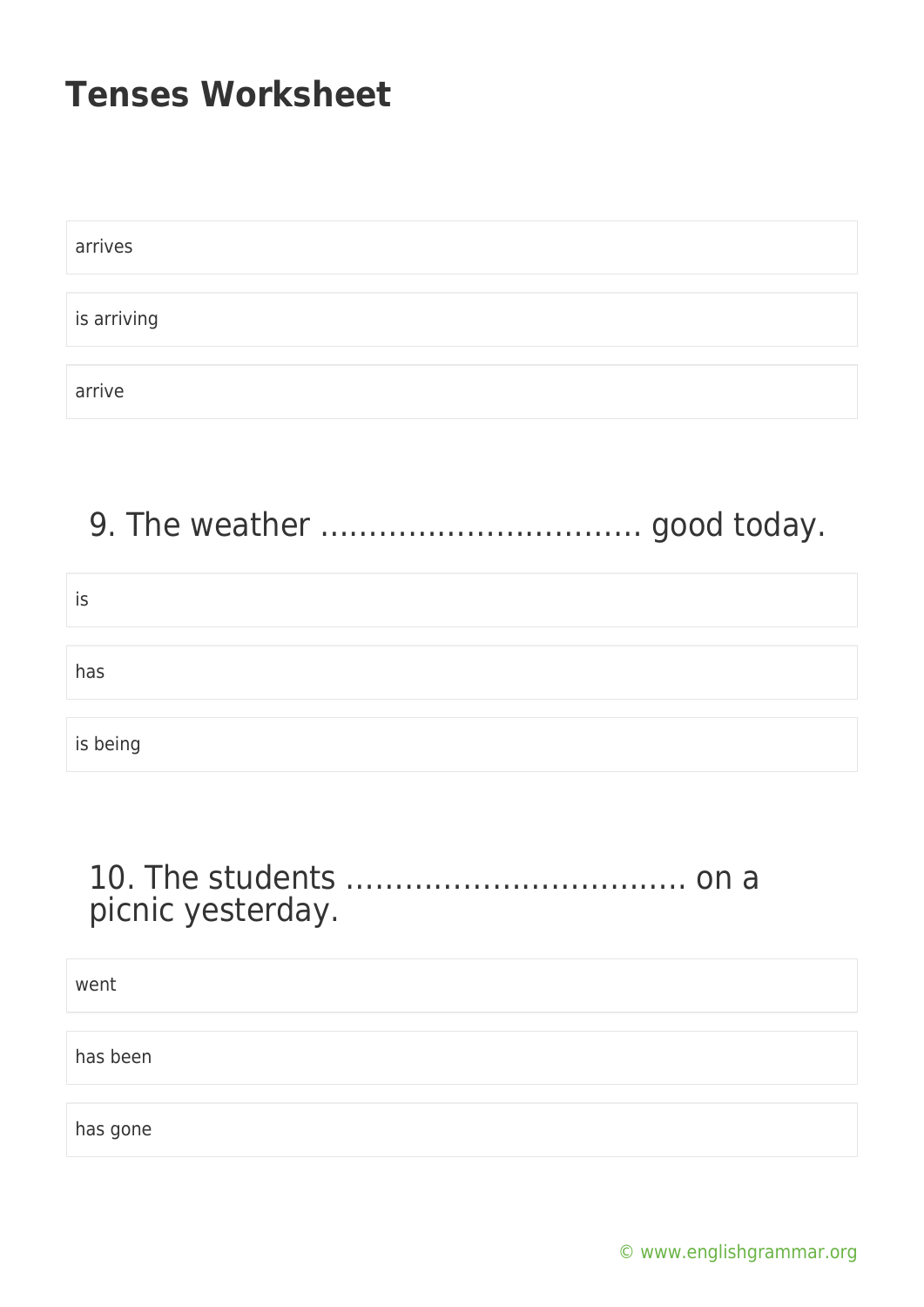| arrives     |  |
|-------------|--|
|             |  |
| is arriving |  |
|             |  |
| arrive      |  |

# 9. The weather …………………………… good today.

| İS       |  |
|----------|--|
|          |  |
| has      |  |
|          |  |
| is being |  |

#### 10. The students …………………………….. on a picnic yesterday.

went

has been

has gone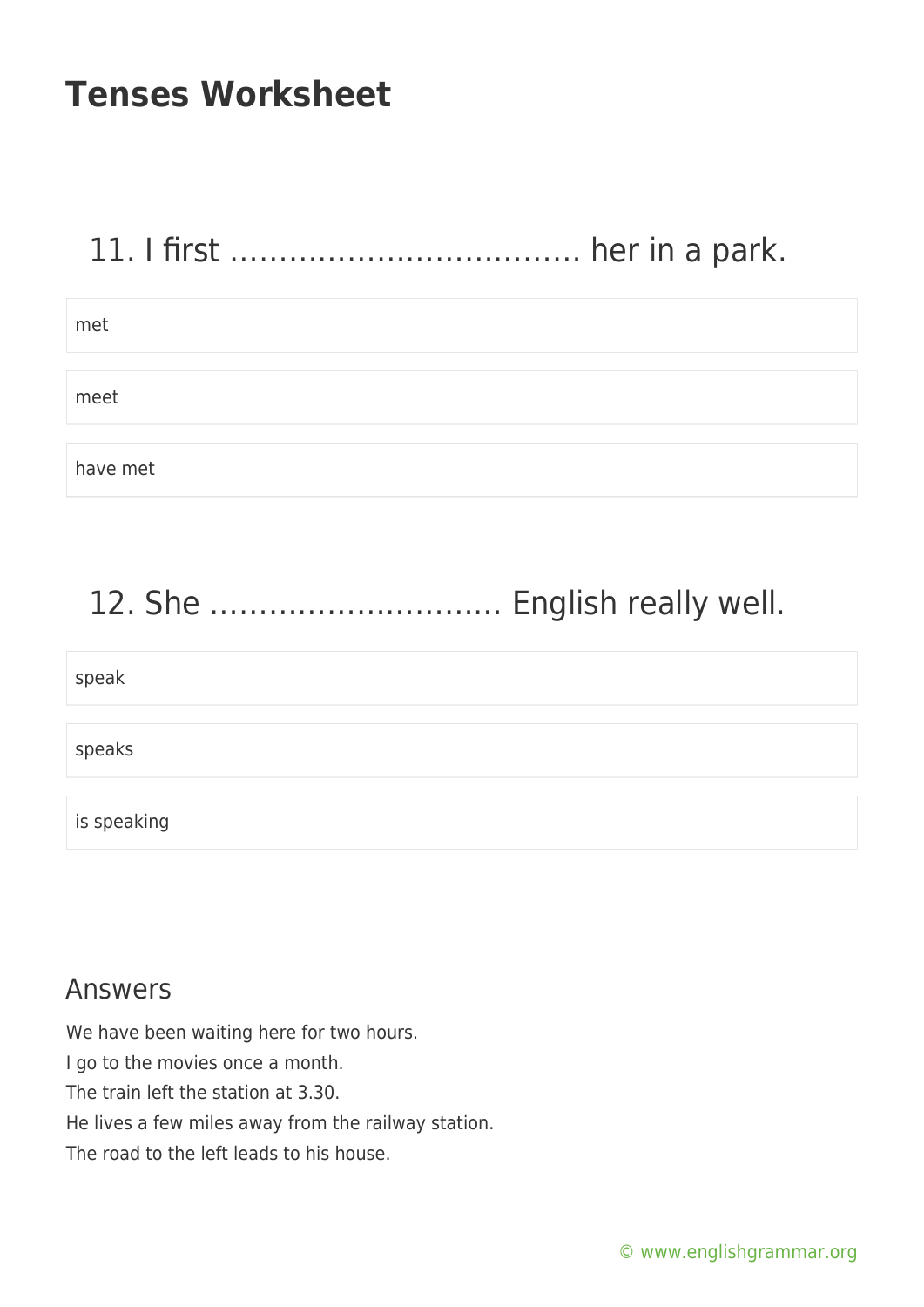# 11. I first ……………………………… her in a park.

met meet have met

# 12. She ………………………… English really well.

| speak       |  |
|-------------|--|
|             |  |
|             |  |
|             |  |
| speaks      |  |
|             |  |
|             |  |
|             |  |
|             |  |
|             |  |
| is speaking |  |
|             |  |
|             |  |

#### Answers

We have been waiting here for two hours. I go to the movies once a month. The train left the station at 3.30. He lives a few miles away from the railway station. The road to the left leads to his house.